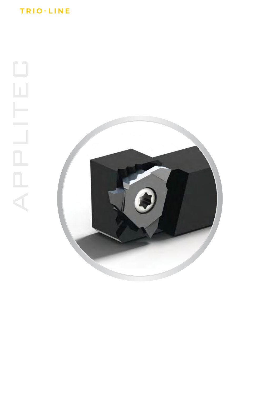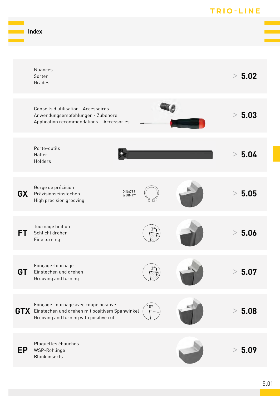|           |                                                                                                                                      |              | <b>RIO-LINE</b> |
|-----------|--------------------------------------------------------------------------------------------------------------------------------------|--------------|-----------------|
|           | <b>Index</b>                                                                                                                         |              |                 |
|           |                                                                                                                                      |              |                 |
|           | Nuances<br>Sorten<br>Grades                                                                                                          |              | > 5.02          |
|           | Conseils d'utilisation - Accessoires<br>Anwendungsempfehlungen - Zubehöre<br>Application recommendations - Accessories               |              | > 5.03          |
|           | Porte-outils<br>Halter<br>Holders                                                                                                    |              | > 5.04          |
| <b>GX</b> | Gorge de précision<br>DIN6799<br>& DIN471<br>Präzisionseinstechen<br>High precision grooving                                         |              | > 5.05          |
| <b>FT</b> | Tournage finition<br>Schlicht drehen<br>Fine turning                                                                                 |              | > 5.06          |
| GT        | Fonçage-tournage<br>Einstechen und drehen<br>Grooving and turning                                                                    |              | > 5.07          |
|           | Fonçage-tournage avec coupe positive<br>GTX Einstechen und drehen mit positivem Spanwinkel<br>Grooving and turning with positive cut | $10^{\circ}$ | > 5.08          |
| <b>EP</b> | Plaquettes ébauches<br>WSP-Rohlinge<br><b>Blank</b> inserts                                                                          |              | > 5.09          |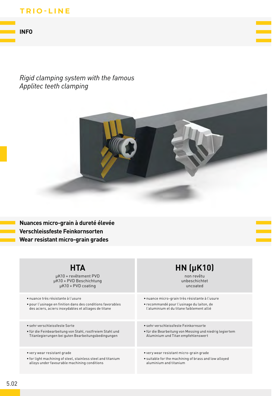#### **INFO**

### Rigid clamping system with the famous Applitec teeth clamping



# **HTA**

µK10 + revêtement PVD µK10 + PVD Beschichtung µK10 + PVD coating

· nuance très résistante à l'usure

· pour l'usinage en finition dans des conditions favorables des aciers, aciers inoxydables et alliages de titane

· sehr verschleissfeste Sorte

· für die Feinbearbeitung von Stahl, rostfreiem Stahl und Titanlegierungen bei guten Bearbeitungsbedingungen

• very wear resistant grade

• for light machining of steel, stainless steel and titanium alloys under favourable machining conditions

### **HN (µK10)** non revêtu

unbeschichtet uncoated

- · nuance micro-grain très résistante à l'usure
- · recommandé pour l'usinage du laiton, de l'aluminium et du titane faiblement allié
- · sehr verschleissfeste Feinkornsorte
- · für die Bearbeitung von Messing und niedrig legiertem Aluminium und Titan empfehlenswert

• very wear resistant micro-grain grade

• suitable for the machining of brass and low alloyed aluminium and titanium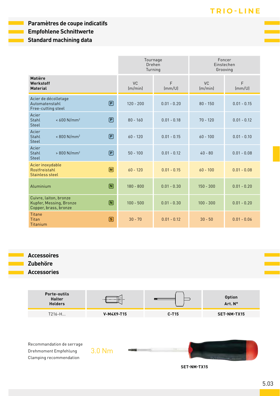#### Paramètres de coupe indicatifs **Empfohlene Schnittwerte**

**Standard machining data** 

|                                                                                                               |                      | Tournage<br>Drehen<br>Turning | Foncer<br>Einstechen<br>Grooving |               |  |
|---------------------------------------------------------------------------------------------------------------|----------------------|-------------------------------|----------------------------------|---------------|--|
| Matière<br>Werkstoff<br><b>Material</b>                                                                       | <b>VC</b><br>(m/min) | F<br>(mm/U)                   | <b>VC</b><br>(m/min)             | F<br>(mm/U)   |  |
| Acier de décolletage<br>$\boldsymbol{\mathsf{P}}$<br>Automatenstahl<br>Free-cutting steel                     | $120 - 200$          | $0.01 - 0.20$                 | $80 - 150$                       | $0.01 - 0.15$ |  |
| Acier<br>$\bm{\mathsf{P}}$<br>Stahl<br>$< 600$ N/mm <sup>2</sup><br><b>Steel</b>                              | $80 - 160$           | $0.01 - 0.18$                 | $70 - 120$                       | $0.01 - 0.12$ |  |
| Acier<br>$\left( \mathsf{P}\right)$<br>Stahl<br>$< 800$ N/mm <sup>2</sup><br><b>Steel</b>                     | $60 - 120$           | $0.01 - 0.15$                 | $60 - 100$                       | $0.01 - 0.10$ |  |
| Acier<br>$\bm{\mathsf{P}}$<br>Stahl<br>$> 800$ N/mm <sup>2</sup><br><b>Steel</b>                              | $50 - 100$           | $0.01 - 0.12$                 | $40 - 80$                        | $0.01 - 0.08$ |  |
| Acier inoxydable<br>$\boxed{\mathsf{M}}$<br>Rostfreistahl<br>Stainless steel                                  | $60 - 120$           | $0.01 - 0.15$                 | $60 - 100$                       | $0.01 - 0.08$ |  |
| $\boxed{\mathsf{N}}$<br>Aluminium                                                                             | $180 - 800$          | $0.01 - 0.30$                 | $150 - 300$                      | $0.01 - 0.20$ |  |
| Cuivre, laiton, bronze<br>$\textcolor{red}{\blacksquare}$<br>Kupfer, Messing, Bronze<br>Copper, brass, bronze | $100 - 500$          | $0.01 - 0.30$                 | $100 - 300$                      | $0.01 - 0.20$ |  |
| <b>Titane</b><br>$\left[ \text{s} \right]$<br><b>Titan</b><br>Titanium                                        | $30 - 70$            | $0.01 - 0.12$                 | $30 - 50$                        | $0.01 - 0.06$ |  |

# **Accessoires**

Zubehöre

**Accessories** 



Recommandation de serrage Drehmoment Empfehlung Clamping recommendation

3.0 Nm

SET-NM-TX15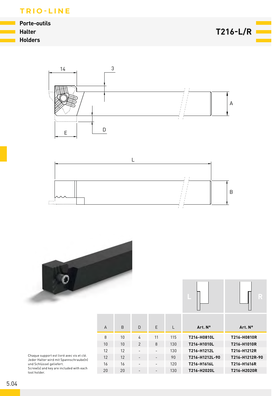**Porte-outils Halter Holders** 

 $T216-L/R$ 







| Art. N°<br>Art. N°               | L   | E                        | D              | B  | $\Delta$ |
|----------------------------------|-----|--------------------------|----------------|----|----------|
| T216-H0810L<br>T216-H0810R       | 115 | 11                       | 4              | 10 | 8        |
| T216-H1010R<br>T216-H1010L       | 130 | 8                        | $\overline{2}$ | 10 | 10       |
| T216-H1212R<br>T216-H1212L       | 130 | $\overline{\phantom{a}}$ | ٠              | 12 | 12       |
| T216-H1212R-90<br>T216-H1212L-90 | 90  | $\overline{\phantom{a}}$ | ۰              | 12 | 12       |
| T216-H1616L<br>T216-H1616R       | 120 | $\overline{\phantom{a}}$ | -              | 16 | 16       |
| T216-H2020L<br>T216-H2020R       | 130 | $\overline{\phantom{a}}$ | -              | 20 | 20       |

Chaque support est livré avec vis et clé.<br>Jeder Halter wird mit Spannschraube(n) state makes and Schlüssel geliefert.<br>Screw(s) and key are included with each tool holder.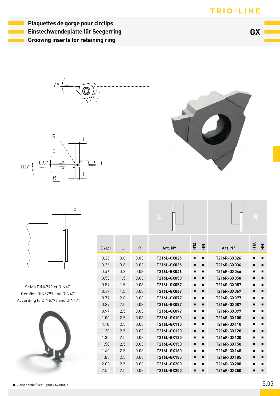

**Plaquettes de gorge pour circlips Einstechwendeplatte für Seegerring Grooving inserts for retaining ring**

**GX**







**L R**



Selon DIN6799 et DIN471 Gemäss DIN6799 und DIN471 According to DIN6799 and DIN471



| $E_{\pm 0.01}$ | L   | R    | Art. Nº     | ĔЧ<br>좊 | Art. Nº     | НTA<br>좊 |
|----------------|-----|------|-------------|---------|-------------|----------|
| 0.26           | 0.8 | 0.03 | T216L-GX026 | п<br>п  | T216R-GX026 | ▪<br>▪   |
| 0.36           | 0.8 | 0.03 | T216L-GX036 | п<br>п  | T216R-GX036 | п<br>п   |
| 0.46           | 0.8 | 0.03 | T216L-GX046 | ■<br>п  | T216R-GX046 | ▪<br>▪   |
| 0.50           | 1.5 | 0.03 | T216L-GX050 | п<br>п  | T216R-GX050 | п<br>п   |
| 0.57           | 1.5 | 0.03 | T216L-GX057 | ■<br>▪  | T216R-GX057 | ▬<br>■   |
| 0.67           | 1.5 | 0.03 | T216L-GX067 | ▪<br>п  | T216R-GX067 | ▪<br>▬   |
| 0.77           | 2.0 | 0.03 | T216L-GX077 | ▪<br>п  | T216R-GX077 | ▬<br>▪   |
| 0.87           | 2.0 | 0.03 | T216L-GX087 | п<br>п  | T216R-GX087 | п<br>п   |
| 0.97           | 2.5 | 0.03 | T216L-GX097 | п<br>▬  | T216R-GX097 | ٠<br>▪   |
| 1.00           | 2.5 | 0.03 | T216L-GX100 | п<br>п  | T216R-GX100 | п<br>▬   |
| 1.10           | 2.5 | 0.03 | T216L-GX110 | п<br>■  | T216R-GX110 | ▪<br>▪   |
| 1.20           | 2.5 | 0.03 | T216L-GX120 | п<br>п  | T216R-GX120 | п<br>▬   |
| 1.30           | 2.5 | 0.03 | T216L-GX130 | ▪<br>п  | T216R-GX130 | ▪<br>▪   |
| 1.50           | 2.5 | 0.03 | T216L-GX150 | п<br>п  | T216R-GX150 | ▪<br>п   |
| 1.60           | 2.5 | 0.03 | T216L-GX160 | п<br>▬  | T216R-GX160 |          |
| 1.85           | 2.5 | 0.03 | T216L-GX185 | п<br>п  | T216R-GX185 | п<br>▪   |
| 2.00           | 2.5 | 0.03 | T216L-GX200 | п<br>▬  | T216R-GX200 |          |
| 2.50           | 2.5 | 0.03 | T216L-GX250 | ■<br>п  | T216R-GX250 | п<br>п   |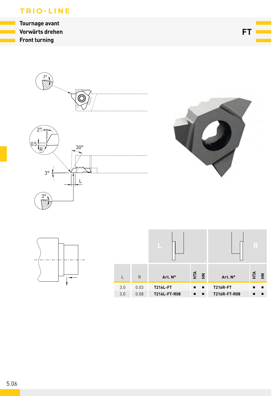**Tournage avant** Vorwärts drehen **Front turning** 

 $FT =$ 





|            |              |                                 |            |                                 | R                |
|------------|--------------|---------------------------------|------------|---------------------------------|------------------|
|            | $\mathsf{R}$ | Art. Nº                         | $E \ncong$ | Art. N°                         | £<br>$\tilde{f}$ |
| 3.0<br>3.0 | 0.03<br>0.08 | <b>T216L-FT</b><br>T216L-FT-R08 |            | <b>T216R-FT</b><br>T216R-FT-R08 |                  |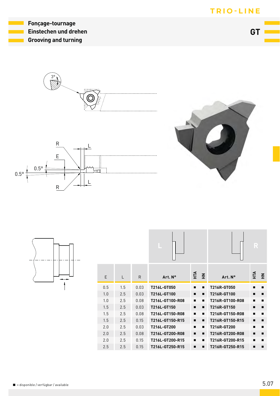

GT I

Fonçage-tournage Einstechen und drehen **Grooving and turning** 

> $3<sup>c</sup>$  $\frac{1}{2}$  $\circledS$





|     |     |      | –               |                |             | –               |    |             |
|-----|-----|------|-----------------|----------------|-------------|-----------------|----|-------------|
| E   | L   | R    | Art. Nº         | F <sub>H</sub> | $\tilde{f}$ | Art. N°         | ЕÁ | $\tilde{f}$ |
| 0.5 | 1.5 | 0.03 | T216L-GT050     |                |             | T216R-GT050     |    |             |
| 1.0 | 2.5 | 0.03 | T216L-GT100     |                | ▪           | T216R-GT100     | ▬  | п           |
| 1.0 | 2.5 | 0.08 | T216L-GT100-R08 |                |             | T216R-GT100-R08 |    | ٠           |
| 1.5 | 2.5 | 0.03 | T216L-GT150     |                | ▪           | T216R-GT150     | ▪  | п           |
| 1.5 | 2.5 | 0.08 | T216L-GT150-R08 |                |             | T216R-GT150-R08 |    |             |
| 1.5 | 2.5 | 0.15 | T216L-GT150-R15 | $\blacksquare$ |             | T216R-GT150-R15 | ▪  | п           |
| 2.0 | 2.5 | 0.03 | T216L-GT200     |                |             | T216R-GT200     |    |             |
| 2.0 | 2.5 | 0.08 | T216L-GT200-R08 |                | ▪           | T216R-GT200-R08 | ▬  | п           |
| 2.0 | 2.5 | 0.15 | T216L-GT200-R15 | ٠              |             | T216R-GT200-R15 |    |             |
| 2.5 | 2.5 | 0.15 | T216L-GT250-R15 | п              | ▪           | T216R-GT250-R15 |    | ▪           |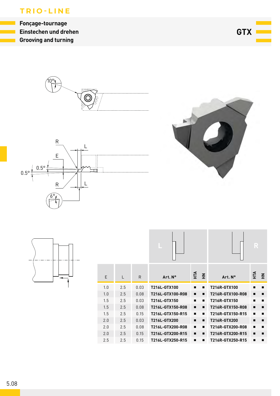Fonçage-tournage Einstechen und drehen **Grooving and turning** 

GTX **L** 









|     |     |              |                  |                   |                  | R                 |
|-----|-----|--------------|------------------|-------------------|------------------|-------------------|
| E   | L   | $\mathsf{R}$ | Art. Nº          | ÉЧ<br>$\tilde{f}$ | Art. Nº          | ЕÁ<br>$\tilde{f}$ |
| 1.0 | 2.5 | 0.03         | T216L-GTX100     |                   | T216R-GTX100     |                   |
| 1.0 | 2.5 | 0.08         | T216L-GTX100-R08 | ▪                 | T216R-GTX100-R08 | ▪                 |
| 1.5 | 2.5 | 0.03         | T216L-GTX150     |                   | T216R-GTX150     | п                 |
| 1.5 | 2.5 | 0.08         | T216L-GTX150-R08 | ▪<br>▪            | T216R-GTX150-R08 | ▪<br>п            |
| 1.5 | 2.5 | 0.15         | T216L-GTX150-R15 | п                 | T216R-GTX150-R15 | ٠                 |
| 2.0 | 2.5 | 0.03         | T216L-GTX200     |                   | T216R-GTX200     | п<br>п            |
| 2.0 | 2.5 | 0.08         | T216L-GTX200-R08 |                   | T216R-GTX200-R08 | ٠                 |
| 2.0 | 2.5 | 0.15         | T216L-GTX200-R15 | п<br>▪            | T216R-GTX200-R15 | п<br>п            |
| 2.5 | 2.5 | 0.15         | T216L-GTX250-R15 | п                 | T216R-GTX250-R15 |                   |

5.08